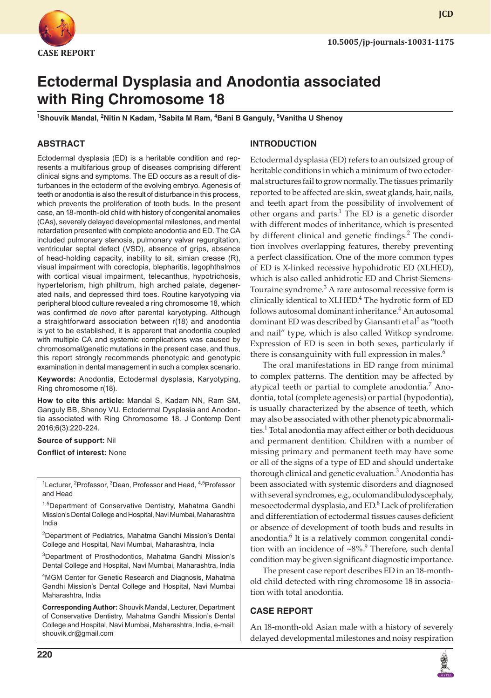

**JCD**

# **Ectodermal Dysplasia and Anodontia associated with Ring Chromosome 18**

<sup>1</sup>Shouvik Mandal, <sup>2</sup>Nitin N Kadam, <sup>3</sup>Sabita M Ram, <sup>4</sup>Bani B Ganguly, <sup>5</sup>Vanitha U Shenoy

# **ABSTRACT**

Ectodermal dysplasia (ED) is a heritable condition and represents a multifarious group of diseases comprising different clinical signs and symptoms. The ED occurs as a result of disturbances in the ectoderm of the evolving embryo. Agenesis of teeth or anodontia is also the result of disturbance in this process, which prevents the proliferation of tooth buds. In the present case, an 18-month-old child with history of congenital anomalies (CAs), severely delayed developmental milestones, and mental retardation presented with complete anodontia and ED. The CA included pulmonary stenosis, pulmonary valvar regurgitation, ventricular septal defect (VSD), absence of grips, absence of head-holding capacity, inability to sit, simian crease (R), visual impairment with corectopia, blepharitis, lagophthalmos with cortical visual impairment, telecanthus, hypotrichosis, hypertelorism, high philtrum, high arched palate, degenerated nails, and depressed third toes. Routine karyotyping via peripheral blood culture revealed a ring chromosome 18, which was confirmed *de novo* after parental karyotyping. Although a straightforward association between r(18) and anodontia is yet to be established, it is apparent that anodontia coupled with multiple CA and systemic complications was caused by chromosomal/genetic mutations in the present case, and thus, this report strongly recommends phenotypic and genotypic examination in dental management in such a complex scenario.

**Keywords:** Anodontia, Ectodermal dysplasia, Karyotyping, Ring chromosome r(18).

**How to cite this article:** Mandal S, Kadam NN, Ram SM, Ganguly BB, Shenoy VU. Ectodermal Dysplasia and Anodontia associated with Ring Chromosome 18. J Contemp Dent 2016;6(3):220-224.

**Source of support:** Nil

**Conflict of interest:** None

<sup>1</sup>Lecturer, <sup>2</sup>Professor, <sup>3</sup>Dean, Professor and Head, <sup>4,5</sup>Professor and Head

1,5Department of Conservative Dentistry, Mahatma Gandhi Mission's Dental College and Hospital, Navi Mumbai, Maharashtra India

2 Department of Pediatrics, Mahatma Gandhi Mission's Dental College and Hospital, Navi Mumbai, Maharashtra, India

3 Department of Prosthodontics, Mahatma Gandhi Mission's Dental College and Hospital, Navi Mumbai, Maharashtra, India

4 MGM Center for Genetic Research and Diagnosis, Mahatma Gandhi Mission's Dental College and Hospital, Navi Mumbai Maharashtra, India

**Corresponding Author:** Shouvik Mandal, Lecturer, Department of Conservative Dentistry, Mahatma Gandhi Mission's Dental College and Hospital, Navi Mumbai, Maharashtra, India, e-mail: shouvik.dr@gmail.com

### **INTRODUCTION**

Ectodermal dysplasia (ED) refers to an outsized group of heritable conditions in which a minimum of two ectodermal structures fail to grow normally. The tissues primarily reported to be affected are skin, sweat glands, hair, nails, and teeth apart from the possibility of involvement of other organs and parts.<sup>1</sup> The ED is a genetic disorder with different modes of inheritance, which is presented by different clinical and genetic findings.<sup>2</sup> The condition involves overlapping features, thereby preventing a perfect classification. One of the more common types of ED is X-linked recessive hypohidrotic ED (XLHED), which is also called anhidrotic ED and Christ-Siemens-Touraine syndrome.<sup>3</sup> A rare autosomal recessive form is clinically identical to XLHED.<sup>4</sup> The hydrotic form of ED follows autosomal dominant inheritance.<sup>4</sup> An autosomal dominant ED was described by Giansanti et al<sup>5</sup> as "tooth and nail" type, which is also called Witkop syndrome. Expression of ED is seen in both sexes, particularly if there is consanguinity with full expression in males.<sup>6</sup>

The oral manifestations in ED range from minimal to complex patterns. The dentition may be affected by atypical teeth or partial to complete anodontia.<sup>7</sup> Anodontia, total (complete agenesis) or partial (hypodontia), is usually characterized by the absence of teeth, which may also be associated with other phenotypic abnormalities. $^1$  Total anodontia may affect either or both deciduous and permanent dentition. Children with a number of missing primary and permanent teeth may have some or all of the signs of a type of ED and should undertake thorough clinical and genetic evaluation.<sup>3</sup> Anodontia has been associated with systemic disorders and diagnosed with several syndromes, e.g., oculomandibulodyscephaly, mesoectodermal dysplasia, and ED.<sup>8</sup> Lack of proliferation and differentiation of ectodermal tissues causes deficient or absence of development of tooth buds and results in anodontia.<sup>6</sup> It is a relatively common congenital condition with an incidence of  $~8\%$ .<sup>9</sup> Therefore, such dental condition may be given significant diagnostic importance.

The present case report describes ED in an 18-monthold child detected with ring chromosome 18 in association with total anodontia.

# **CASE REPORT**

An 18-month-old Asian male with a history of severely delayed developmental milestones and noisy respiration

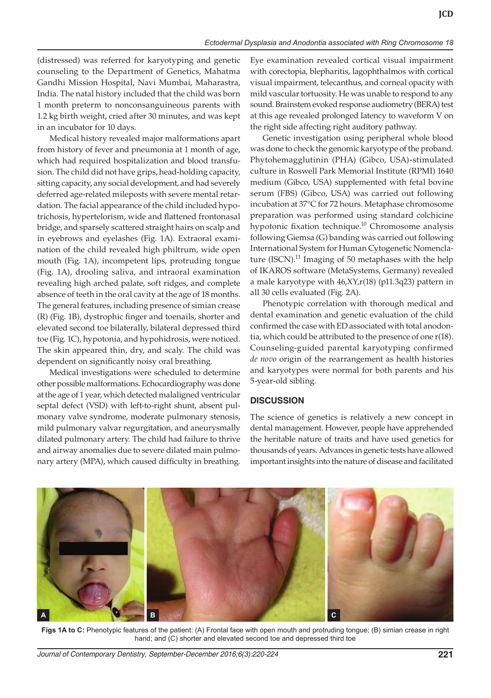(distressed) was referred for karyotyping and genetic counseling to the Department of Genetics, Mahatma Gandhi Mission Hospital, Navi Mumbai, Maharastra, India. The natal history included that the child was born 1 month preterm to nonconsanguineous parents with 1.2 kg birth weight, cried after 30 minutes, and was kept in an incubator for 10 days.

Medical history revealed major malformations apart from history of fever and pneumonia at 1 month of age, which had required hospitalization and blood transfusion. The child did not have grips, head-holding capacity, sitting capacity, any social development, and had severely deferred age-related mileposts with severe mental retardation. The facial appearance of the child included hypotrichosis, hypertelorism, wide and flattened frontonasal bridge, and sparsely scattered straight hairs on scalp and in eyebrows and eyelashes (Fig. 1A). Extraoral examination of the child revealed high philtrum, wide open mouth (Fig. 1A), incompetent lips, protruding tongue (Fig. 1A), drooling saliva, and intraoral examination revealing high arched palate, soft ridges, and complete absence of teeth in the oral cavity at the age of 18 months. The general features, including presence of simian crease (R) (Fig. 1B), dystrophic finger and toenails, shorter and elevated second toe bilaterally, bilateral depressed third toe (Fig. 1C), hypotonia, and hypohidrosis, were noticed. The skin appeared thin, dry, and scaly. The child was dependent on significantly noisy oral breathing.

Medical investigations were scheduled to determine other possible malformations. Echocardiography was done at the age of 1 year, which detected malaligned ventricular septal defect (VSD) with left-to-right shunt, absent pulmonary valve syndrome, moderate pulmonary stenosis, mild pulmonary valvar regurgitation, and aneurysmally dilated pulmonary artery. The child had failure to thrive and airway anomalies due to severe dilated main pulmonary artery (MPA), which caused difficulty in breathing.

Eye examination revealed cortical visual impairment with corectopia, blepharitis, lagophthalmos with cortical visual impairment, telecanthus, and corneal opacity with mild vascular tortuosity. He was unable to respond to any sound. Brainstem evoked response audiometry (BERA) test at this age revealed prolonged latency to waveform V on the right side affecting right auditory pathway.

Genetic investigation using peripheral whole blood was done to check the genomic karyotype of the proband. Phytohemagglutinin (PHA) (Gibco, USA)-stimulated culture in Roswell Park Memorial Institute (RPMI) 1640 medium (Gibco, USA) supplemented with fetal bovine serum (FBS) (Gibco, USA) was carried out following incubation at 37°C for 72 hours. Metaphase chromosome preparation was performed using standard colchicine hypotonic fixation technique.<sup>10</sup> Chromosome analysis following Giemsa (G) banding was carried out following International System for Human Cytogenetic Nomenclature  $(ISCN).$ <sup>11</sup> Imaging of 50 metaphases with the help of IKAROS software (MetaSystems, Germany) revealed a male karyotype with 46,XY,r(18) (p11.3q23) pattern in all 30 cells evaluated (Fig. 2A).

Phenotypic correlation with thorough medical and dental examination and genetic evaluation of the child confirmed the case with ED associated with total anodontia, which could be attributed to the presence of one r(18). Counseling-guided parental karyotyping confirmed *de novo* origin of the rearrangement as health histories and karyotypes were normal for both parents and his 5-year-old sibling.

# **DISCUSSION**

The science of genetics is relatively a new concept in dental management. However, people have apprehended the heritable nature of traits and have used genetics for thousands of years. Advances in genetic tests have allowed important insights into the nature of disease and facilitated



**Figs 1A to C:** Phenotypic features of the patient: (A) Frontal face with open mouth and protruding tongue; (B) simian crease in right hand; and (C) shorter and elevated second toe and depressed third toe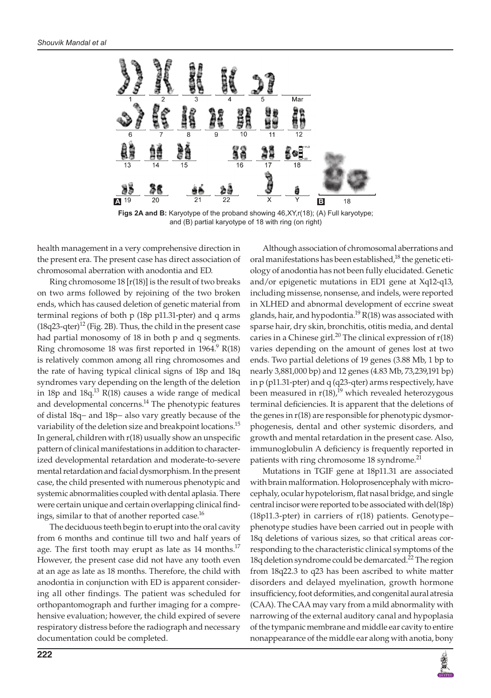

**Figs 2A and B:** Karyotype of the proband showing 46,XY,r(18); (A) Full karyotype; and (B) partial karyotype of 18 with ring (on right)

health management in a very comprehensive direction in the present era. The present case has direct association of chromosomal aberration with anodontia and ED.

Ring chromosome  $18 [r(18)]$  is the result of two breaks on two arms followed by rejoining of the two broken ends, which has caused deletion of genetic material from terminal regions of both p (18p p11.31-pter) and q arms (18q23-qter)<sup>12</sup> (Fig. 2B). Thus, the child in the present case had partial monosomy of 18 in both p and q segments. Ring chromosome 18 was first reported in  $1964.$ <sup>9</sup> R(18) is relatively common among all ring chromosomes and the rate of having typical clinical signs of 18p and 18q syndromes vary depending on the length of the deletion in 18p and 18q.<sup>13</sup> R(18) causes a wide range of medical and developmental concerns.<sup>14</sup> The phenotypic features of distal 18q− and 18p− also vary greatly because of the variability of the deletion size and breakpoint locations.<sup>15</sup> In general, children with r(18) usually show an unspecific pattern of clinical manifestations in addition to characterized developmental retardation and moderate-to-severe mental retardation and facial dysmorphism. In the present case, the child presented with numerous phenotypic and systemic abnormalities coupled with dental aplasia. There were certain unique and certain overlapping clinical findings, similar to that of another reported case.<sup>16</sup>

The deciduous teeth begin to erupt into the oral cavity from 6 months and continue till two and half years of age. The first tooth may erupt as late as 14 months.<sup>17</sup> However, the present case did not have any tooth even at an age as late as 18 months. Therefore, the child with anodontia in conjunction with ED is apparent considering all other findings. The patient was scheduled for orthopantomograph and further imaging for a comprehensive evaluation; however, the child expired of severe respiratory distress before the radiograph and necessary documentation could be completed.

Although association of chromosomal aberrations and oral manifestations has been established,<sup>18</sup> the genetic etiology of anodontia has not been fully elucidated. Genetic and/or epigenetic mutations in ED1 gene at Xq12-q13, including missense, nonsense, and indels, were reported in XLHED and abnormal development of eccrine sweat glands, hair, and hypodontia.<sup>19</sup> R(18) was associated with sparse hair, dry skin, bronchitis, otitis media, and dental caries in a Chinese girl.<sup>20</sup> The clinical expression of  $r(18)$ varies depending on the amount of genes lost at two ends. Two partial deletions of 19 genes (3.88 Mb, 1 bp to nearly 3,881,000 bp) and 12 genes (4.83 Mb, 73,239,191 bp) in p (p11.31-pter) and q (q23-qter) arms respectively, have been measured in  $r(18)$ ,<sup>19</sup> which revealed heterozygous terminal deficiencies. It is apparent that the deletions of the genes in r(18) are responsible for phenotypic dysmorphogenesis, dental and other systemic disorders, and growth and mental retardation in the present case. Also, immunoglobulin A deficiency is frequently reported in patients with ring chromosome 18 syndrome.<sup>21</sup>

Mutations in TGIF gene at 18p11.31 are associated with brain malformation. Holoprosencephaly with microcephaly, ocular hypotelorism, flat nasal bridge, and single central incisor were reported to be associated with del(18p) (18p11.3-pter) in carriers of r(18) patients. Genotype– phenotype studies have been carried out in people with 18q deletions of various sizes, so that critical areas corresponding to the characteristic clinical symptoms of the 18q deletion syndrome could be demarcated.<sup>22</sup> The region from 18q22.3 to q23 has been ascribed to white matter disorders and delayed myelination, growth hormone insufficiency, foot deformities, and congenital aural atresia (CAA). The CAA may vary from a mild abnormality with narrowing of the external auditory canal and hypoplasia of the tympanic membrane and middle ear cavity to entire nonappearance of the middle ear along with anotia, bony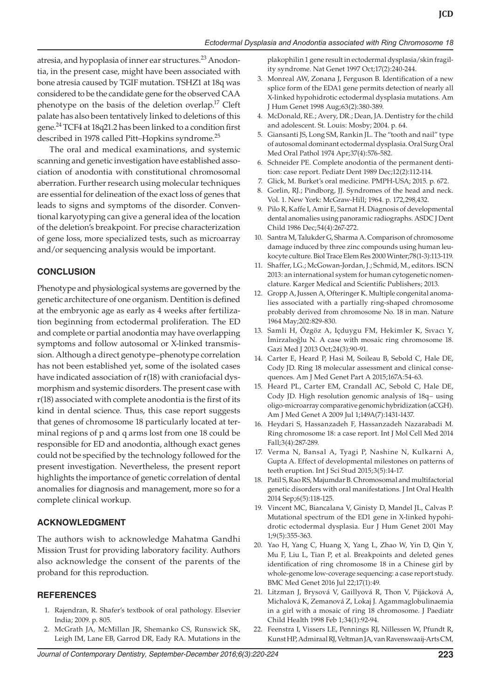atresia, and hypoplasia of inner ear structures.<sup>23</sup> Anodontia, in the present case, might have been associated with bone atresia caused by TGIF mutation. TSHZ1 at 18q was considered to be the candidate gene for the observed CAA phenotype on the basis of the deletion overlap.17 Cleft palate has also been tentatively linked to deletions of this gene.<sup>24</sup> TCF4 at 18q21.2 has been linked to a condition first described in 1978 called Pitt–Hopkins syndrome.<sup>25</sup>

The oral and medical examinations, and systemic scanning and genetic investigation have established association of anodontia with constitutional chromosomal aberration. Further research using molecular techniques are essential for delineation of the exact loss of genes that leads to signs and symptoms of the disorder. Conventional karyotyping can give a general idea of the location of the deletion's breakpoint. For precise characterization of gene loss, more specialized tests, such as microarray and/or sequencing analysis would be important.

### **CONCLUSION**

Phenotype and physiological systems are governed by the genetic architecture of one organism. Dentition is defined at the embryonic age as early as 4 weeks after fertilization beginning from ectodermal proliferation. The ED and complete or partial anodontia may have overlapping symptoms and follow autosomal or X-linked transmission. Although a direct genotype–phenotype correlation has not been established yet, some of the isolated cases have indicated association of r(18) with craniofacial dysmorphism and systemic disorders. The present case with r(18) associated with complete anodontia is the first of its kind in dental science. Thus, this case report suggests that genes of chromosome 18 particularly located at terminal regions of p and q arms lost from one 18 could be responsible for ED and anodontia, although exact genes could not be specified by the technology followed for the present investigation. Nevertheless, the present report highlights the importance of genetic correlation of dental anomalies for diagnosis and management, more so for a complete clinical workup.

#### **ACKNOWLEDGMENT**

The authors wish to acknowledge Mahatma Gandhi Mission Trust for providing laboratory facility. Authors also acknowledge the consent of the parents of the proband for this reproduction.

#### **REFERENCES**

- 1. Rajendran, R. Shafer's textbook of oral pathology. Elsevier India; 2009. p. 805.
- 2. McGrath JA, McMillan JR, Shemanko CS, Runswick SK, Leigh IM, Lane EB, Garrod DR, Eady RA. Mutations in the

plakophilin 1 gene result in ectodermal dysplasia/skin fragility syndrome. Nat Genet 1997 Oct;17(2):240-244.

- 3. Monreal AW, Zonana J, Ferguson B. Identification of a new splice form of the EDA1 gene permits detection of nearly all X-linked hypohidrotic ectodermal dysplasia mutations. Am J Hum Genet 1998 Aug;63(2):380-389.
- 4. McDonald, RE.; Avery, DR.; Dean, JA. Dentistry for the child and adolescent. St. Louis: Mosby; 2004. p. 64.
- 5. Giansanti JS, Long SM, Rankin JL. The "tooth and nail" type of autosomal dominant ectodermal dysplasia. Oral Surg Oral Med Oral Pathol 1974 Apr;37(4):576-582.
- Schneider PE. Complete anodontia of the permanent dentition: case report. Pediatr Dent 1989 Dec;12(2):112-114.
- 7. Glick, M. Burket's oral medicine. PMPH-USA; 2015. p. 672.
- Gorlin, RJ.; Pindborg, JJ. Syndromes of the head and neck. Vol. 1. New York: McGraw-Hill; 1964. p. 172,298,432.
- 9. Pilo R, Kaffe I, Amir E, Sarnat H. Diagnosis of developmental dental anomalies using panoramic radiographs. ASDC J Dent Child 1986 Dec;54(4):267-272.
- 10. Santra M, Talukder G, Sharma A. Comparison of chromosome damage induced by three zinc compounds using human leukocyte culture. Biol Trace Elem Res 2000 Winter;78(1-3):113-119.
- 11. Shaffer, LG.; McGowan-Jordan, J.; Schmid, M., editors. ISCN 2013: an international system for human cytogenetic nomenclature. Karger Medical and Scientific Publishers; 2013.
- 12. Gropp A, Jussen A, Ofteringer K. Multiple congenital anomalies associated with a partially ring-shaped chromosome probably derived from chromosome No. 18 in man. Nature 1964 May;202:829-830.
- 13. Samli H, Özgöz A, Içduygu FM, Hekimler K, Sıvacı Y, İmirzalıoğlu N. A case with mosaic ring chromosome 18. Gazi Med J 2013 Oct;24(3):90-91.
- 14. Carter E, Heard P, Hasi M, Soileau B, Sebold C, Hale DE, Cody JD. Ring 18 molecular assessment and clinical consequences. Am J Med Genet Part A 2015;167A:54-63.
- 15. Heard PL, Carter EM, Crandall AC, Sebold C, Hale DE, Cody JD. High resolution genomic analysis of 18q− using oligo-microarray comparative genomic hybridization (aCGH). Am J Med Genet A 2009 Jul 1;149A(7):1431-1437.
- 16. Heydari S, Hassanzadeh F, Hassanzadeh Nazarabadi M. Ring chromosome 18: a case report. Int J Mol Cell Med 2014 Fall;3(4):287-289.
- 17. Verma N, Bansal A, Tyagi P, Nashine N, Kulkarni A, Gupta A. Effect of developmental milestones on patterns of teeth eruption. Int J Sci Stud 2015;3(5):14-17.
- 18. Patil S, Rao RS, Majumdar B. Chromosomal and multifactorial genetic disorders with oral manifestations. J Int Oral Health 2014 Sep;6(5):118-125.
- 19. Vincent MC, Biancalana V, Ginisty D, Mandel JL, Calvas P. Mutational spectrum of the ED1 gene in X-linked hypohidrotic ectodermal dysplasia. Eur J Hum Genet 2001 May 1;9(5):355-363.
- 20. Yao H, Yang C, Huang X, Yang L, Zhao W, Yin D, Qin Y, Mu F, Liu L, Tian P, et al. Breakpoints and deleted genes identification of ring chromosome 18 in a Chinese girl by whole-genome low-coverage sequencing: a case report study. BMC Med Genet 2016 Jul 22;17(1):49.
- 21. Litzman J, Brysová V, Gaillyová R, Thon V, Pijácková A, Michalová K, Zemanová Z, Lokaj J. Agammaglobulinaemia in a girl with a mosaic of ring 18 chromosome. J Paediatr Child Health 1998 Feb 1;34(1):92-94.
- 22. Feenstra I, Vissers LE, Pennings RJ, Nillessen W, Pfundt R, Kunst HP, Admiraal RJ, Veltman JA, van Ravenswaaij-Arts CM,